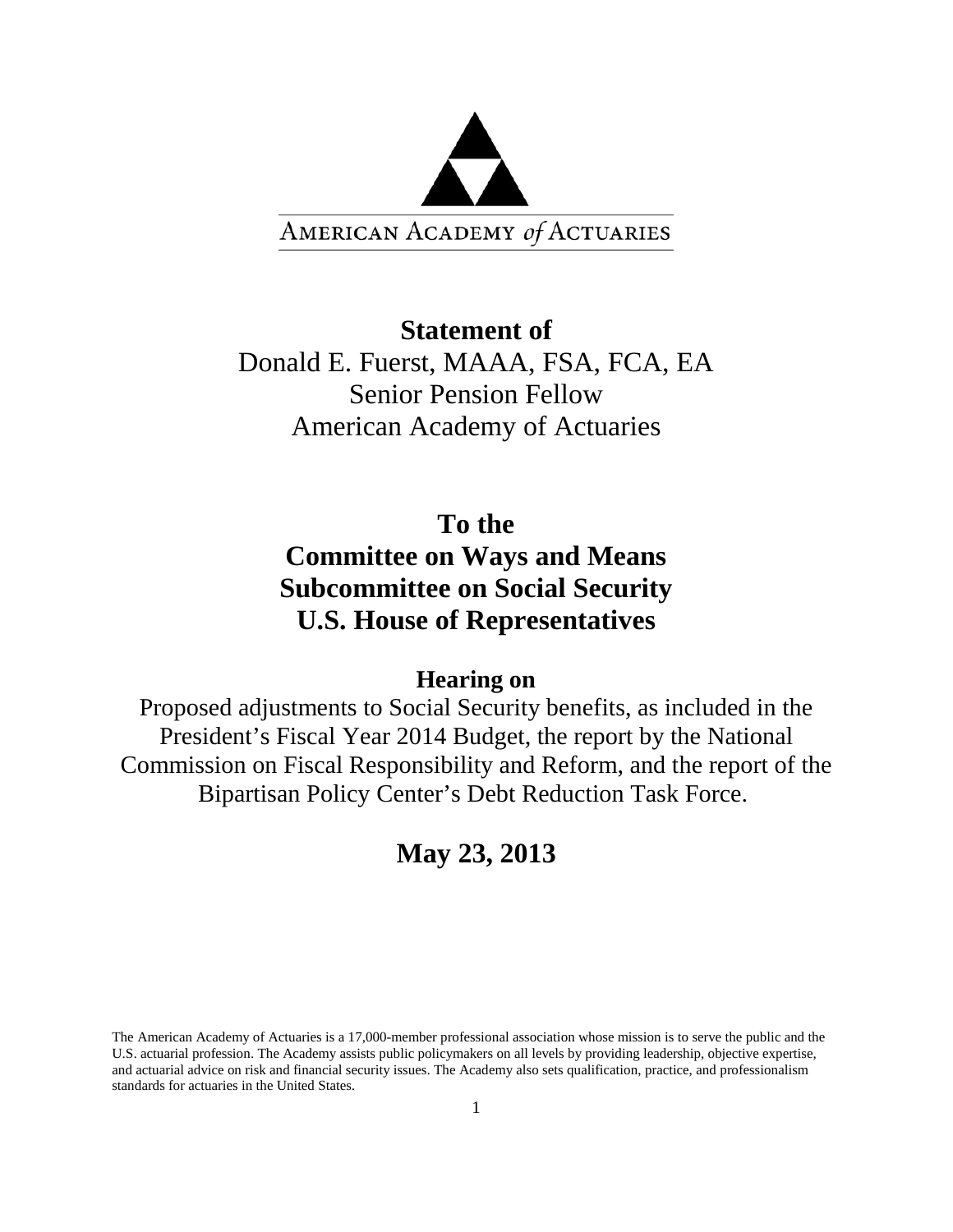

# **Statement of** Donald E. Fuerst, MAAA, FSA, FCA, EA Senior Pension Fellow American Academy of Actuaries

# **To the Committee on Ways and Means Subcommittee on Social Security U.S. House of Representatives**

# **Hearing on**

Proposed adjustments to Social Security benefits, as included in the President's Fiscal Year 2014 Budget, the report by the National Commission on Fiscal Responsibility and Reform, and the report of the Bipartisan Policy Center's Debt Reduction Task Force.

# **May 23, 2013**

The American Academy of Actuaries is a 17,000-member professional association whose mission is to serve the public and the U.S. actuarial profession. The Academy assists public policymakers on all levels by providing leadership, objective expertise, and actuarial advice on risk and financial security issues. The Academy also sets qualification, practice, and professionalism standards for actuaries in the United States.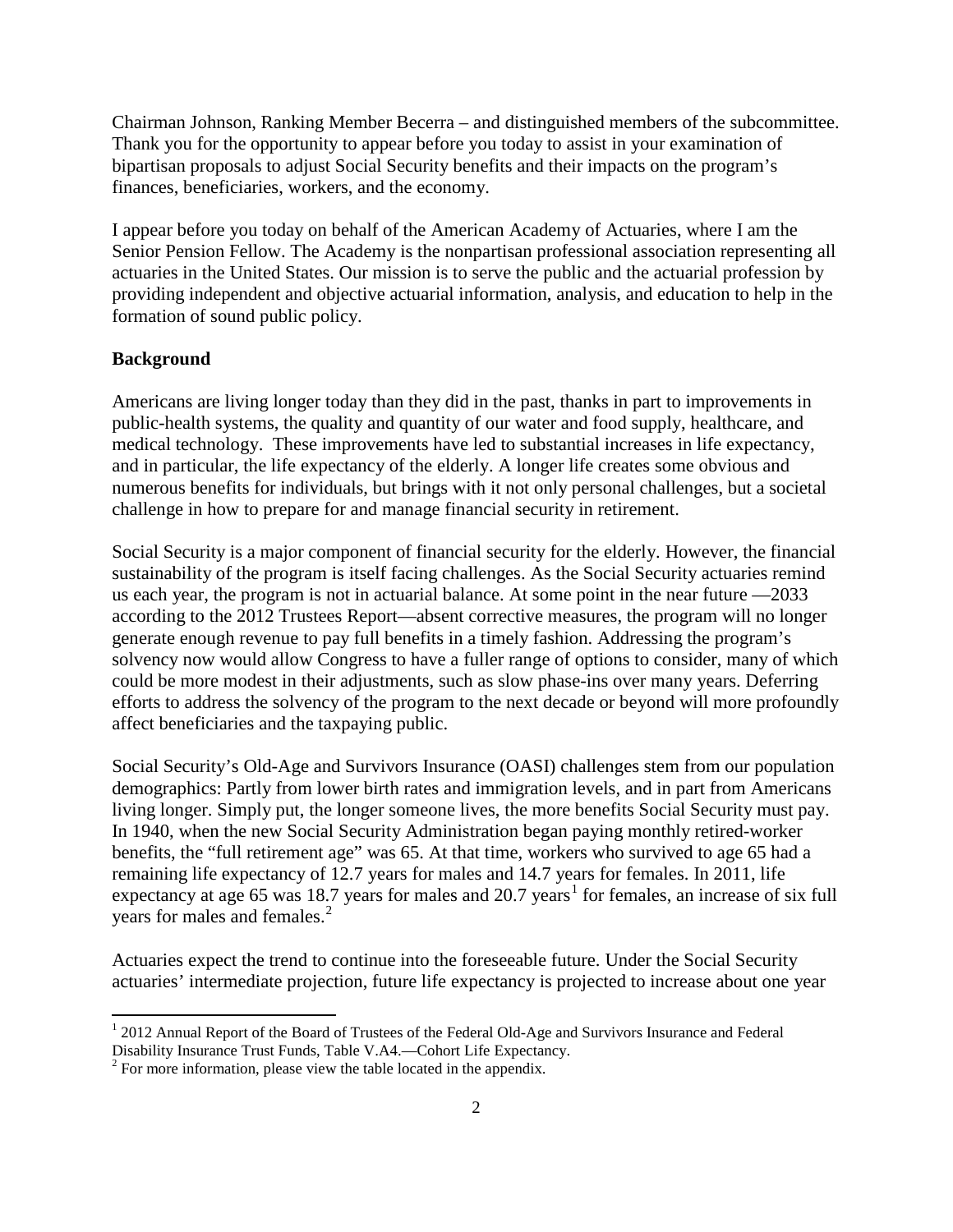Chairman Johnson, Ranking Member Becerra – and distinguished members of the subcommittee. Thank you for the opportunity to appear before you today to assist in your examination of bipartisan proposals to adjust Social Security benefits and their impacts on the program's finances, beneficiaries, workers, and the economy.

I appear before you today on behalf of the American Academy of Actuaries, where I am the Senior Pension Fellow. The Academy is the nonpartisan professional association representing all actuaries in the United States. Our mission is to serve the public and the actuarial profession by providing independent and objective actuarial information, analysis, and education to help in the formation of sound public policy.

### **Background**

Americans are living longer today than they did in the past, thanks in part to improvements in public-health systems, the quality and quantity of our water and food supply, healthcare, and medical technology. These improvements have led to substantial increases in life expectancy, and in particular, the life expectancy of the elderly. A longer life creates some obvious and numerous benefits for individuals, but brings with it not only personal challenges, but a societal challenge in how to prepare for and manage financial security in retirement.

Social Security is a major component of financial security for the elderly. However, the financial sustainability of the program is itself facing challenges. As the Social Security actuaries remind us each year, the program is not in actuarial balance. At some point in the near future —2033 according to the 2012 Trustees Report—absent corrective measures, the program will no longer generate enough revenue to pay full benefits in a timely fashion. Addressing the program's solvency now would allow Congress to have a fuller range of options to consider, many of which could be more modest in their adjustments, such as slow phase-ins over many years. Deferring efforts to address the solvency of the program to the next decade or beyond will more profoundly affect beneficiaries and the taxpaying public.

Social Security's Old-Age and Survivors Insurance (OASI) challenges stem from our population demographics: Partly from lower birth rates and immigration levels, and in part from Americans living longer. Simply put, the longer someone lives, the more benefits Social Security must pay. In 1940, when the new Social Security Administration began paying monthly retired-worker benefits, the "full retirement age" was 65. At that time, workers who survived to age 65 had a remaining life expectancy of 12.7 years for males and 14.7 years for females. In 2011, life expectancy at age 65 was [1](#page-1-0)8.7 years for males and 20.7 years<sup>1</sup> for females, an increase of six full years for males and females.<sup>[2](#page-1-1)</sup>

Actuaries expect the trend to continue into the foreseeable future. Under the Social Security actuaries' intermediate projection, future life expectancy is projected to increase about one year

<span id="page-1-0"></span> $1$  2012 Annual Report of the Board of Trustees of the Federal Old-Age and Survivors Insurance and Federal Disability Insurance Trust Funds, Table V.A4.—Cohort Life Expectancy.

<span id="page-1-1"></span> $2^2$  For more information, please view the table located in the appendix.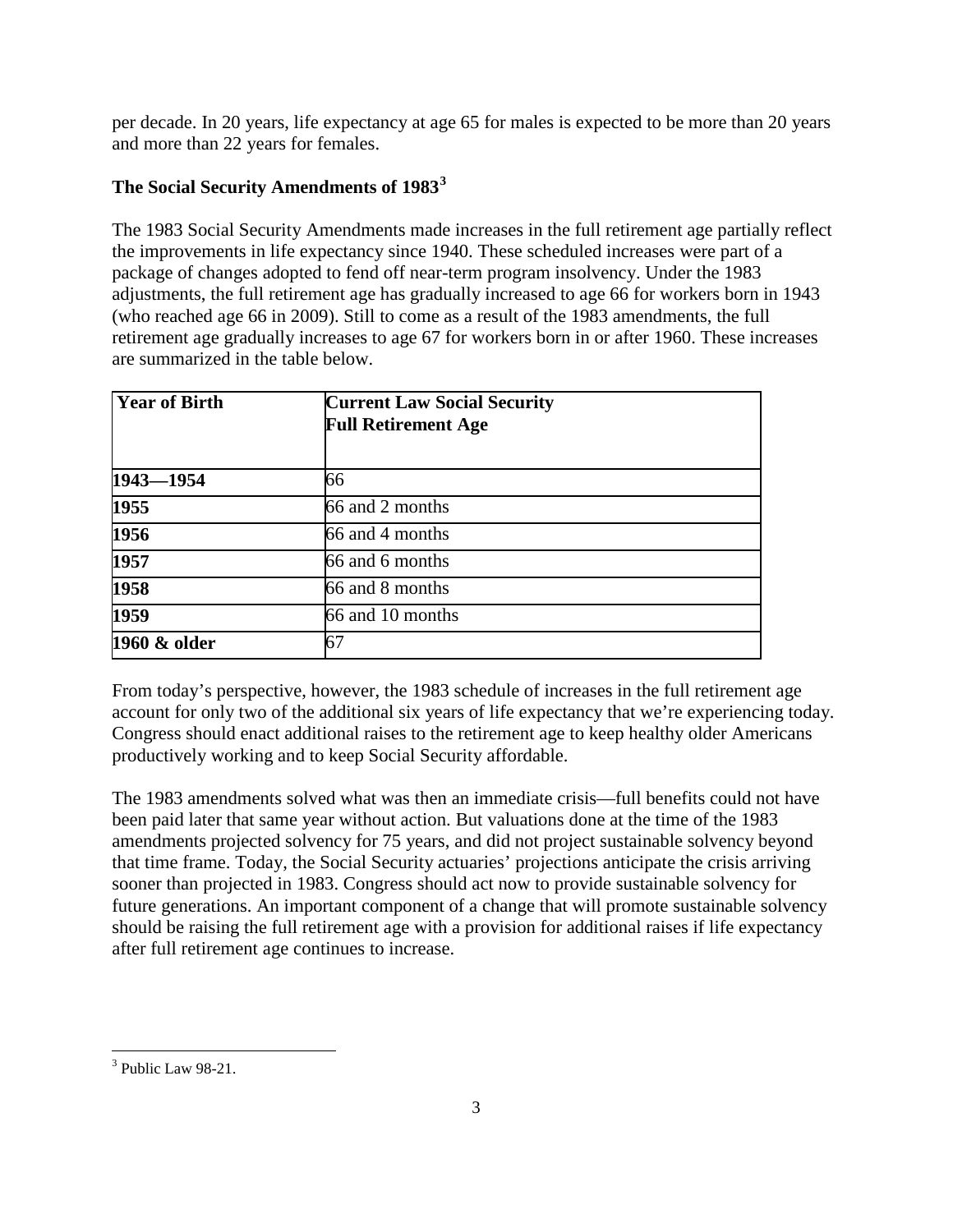per decade. In 20 years, life expectancy at age 65 for males is expected to be more than 20 years and more than 22 years for females.

# **The Social Security Amendments of 1983[3](#page-2-0)**

The 1983 Social Security Amendments made increases in the full retirement age partially reflect the improvements in life expectancy since 1940. These scheduled increases were part of a package of changes adopted to fend off near-term program insolvency. Under the 1983 adjustments, the full retirement age has gradually increased to age 66 for workers born in 1943 (who reached age 66 in 2009). Still to come as a result of the 1983 amendments, the full retirement age gradually increases to age 67 for workers born in or after 1960. These increases are summarized in the table below.

| <b>Year of Birth</b> | <b>Current Law Social Security</b><br><b>Full Retirement Age</b> |
|----------------------|------------------------------------------------------------------|
| $1943 - 1954$        | 66                                                               |
| 1955                 | 66 and 2 months                                                  |
| 1956                 | 66 and 4 months                                                  |
| 1957                 | 66 and 6 months                                                  |
| 1958                 | 66 and 8 months                                                  |
| 1959                 | 66 and 10 months                                                 |
| 1960 & older         |                                                                  |

From today's perspective, however, the 1983 schedule of increases in the full retirement age account for only two of the additional six years of life expectancy that we're experiencing today. Congress should enact additional raises to the retirement age to keep healthy older Americans productively working and to keep Social Security affordable.

The 1983 amendments solved what was then an immediate crisis—full benefits could not have been paid later that same year without action. But valuations done at the time of the 1983 amendments projected solvency for 75 years, and did not project sustainable solvency beyond that time frame. Today, the Social Security actuaries' projections anticipate the crisis arriving sooner than projected in 1983. Congress should act now to provide sustainable solvency for future generations. An important component of a change that will promote sustainable solvency should be raising the full retirement age with a provision for additional raises if life expectancy after full retirement age continues to increase.

<span id="page-2-0"></span> $3$  Public Law 98-21.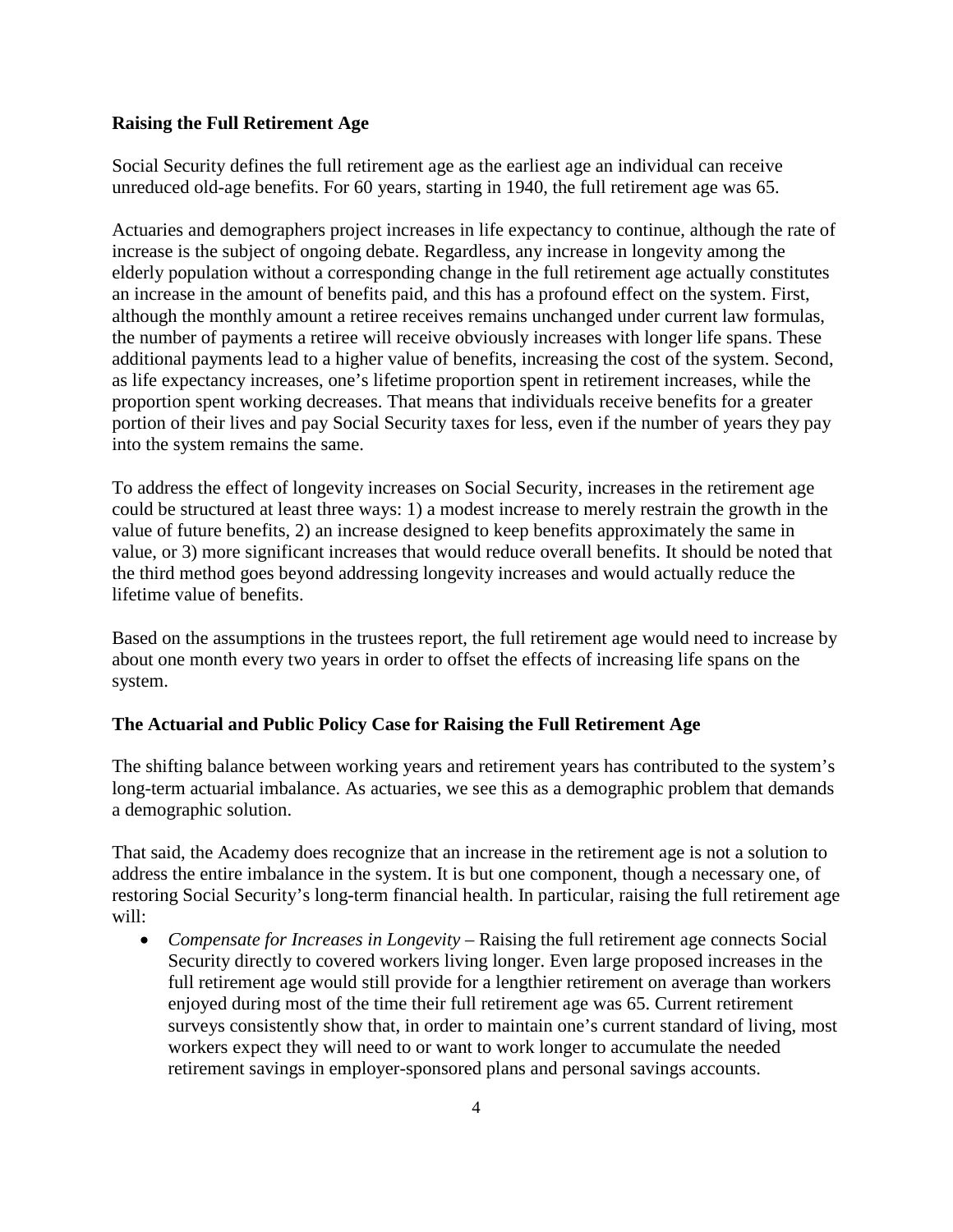### **Raising the Full Retirement Age**

Social Security defines the full retirement age as the earliest age an individual can receive unreduced old-age benefits. For 60 years, starting in 1940, the full retirement age was 65.

Actuaries and demographers project increases in life expectancy to continue, although the rate of increase is the subject of ongoing debate. Regardless, any increase in longevity among the elderly population without a corresponding change in the full retirement age actually constitutes an increase in the amount of benefits paid, and this has a profound effect on the system. First, although the monthly amount a retiree receives remains unchanged under current law formulas, the number of payments a retiree will receive obviously increases with longer life spans. These additional payments lead to a higher value of benefits, increasing the cost of the system. Second, as life expectancy increases, one's lifetime proportion spent in retirement increases, while the proportion spent working decreases. That means that individuals receive benefits for a greater portion of their lives and pay Social Security taxes for less, even if the number of years they pay into the system remains the same.

To address the effect of longevity increases on Social Security, increases in the retirement age could be structured at least three ways: 1) a modest increase to merely restrain the growth in the value of future benefits, 2) an increase designed to keep benefits approximately the same in value, or 3) more significant increases that would reduce overall benefits. It should be noted that the third method goes beyond addressing longevity increases and would actually reduce the lifetime value of benefits.

Based on the assumptions in the trustees report, the full retirement age would need to increase by about one month every two years in order to offset the effects of increasing life spans on the system.

### **The Actuarial and Public Policy Case for Raising the Full Retirement Age**

The shifting balance between working years and retirement years has contributed to the system's long-term actuarial imbalance. As actuaries, we see this as a demographic problem that demands a demographic solution.

That said, the Academy does recognize that an increase in the retirement age is not a solution to address the entire imbalance in the system. It is but one component, though a necessary one, of restoring Social Security's long-term financial health. In particular, raising the full retirement age will:

• *Compensate for Increases in Longevity* – Raising the full retirement age connects Social Security directly to covered workers living longer. Even large proposed increases in the full retirement age would still provide for a lengthier retirement on average than workers enjoyed during most of the time their full retirement age was 65. Current retirement surveys consistently show that, in order to maintain one's current standard of living, most workers expect they will need to or want to work longer to accumulate the needed retirement savings in employer-sponsored plans and personal savings accounts.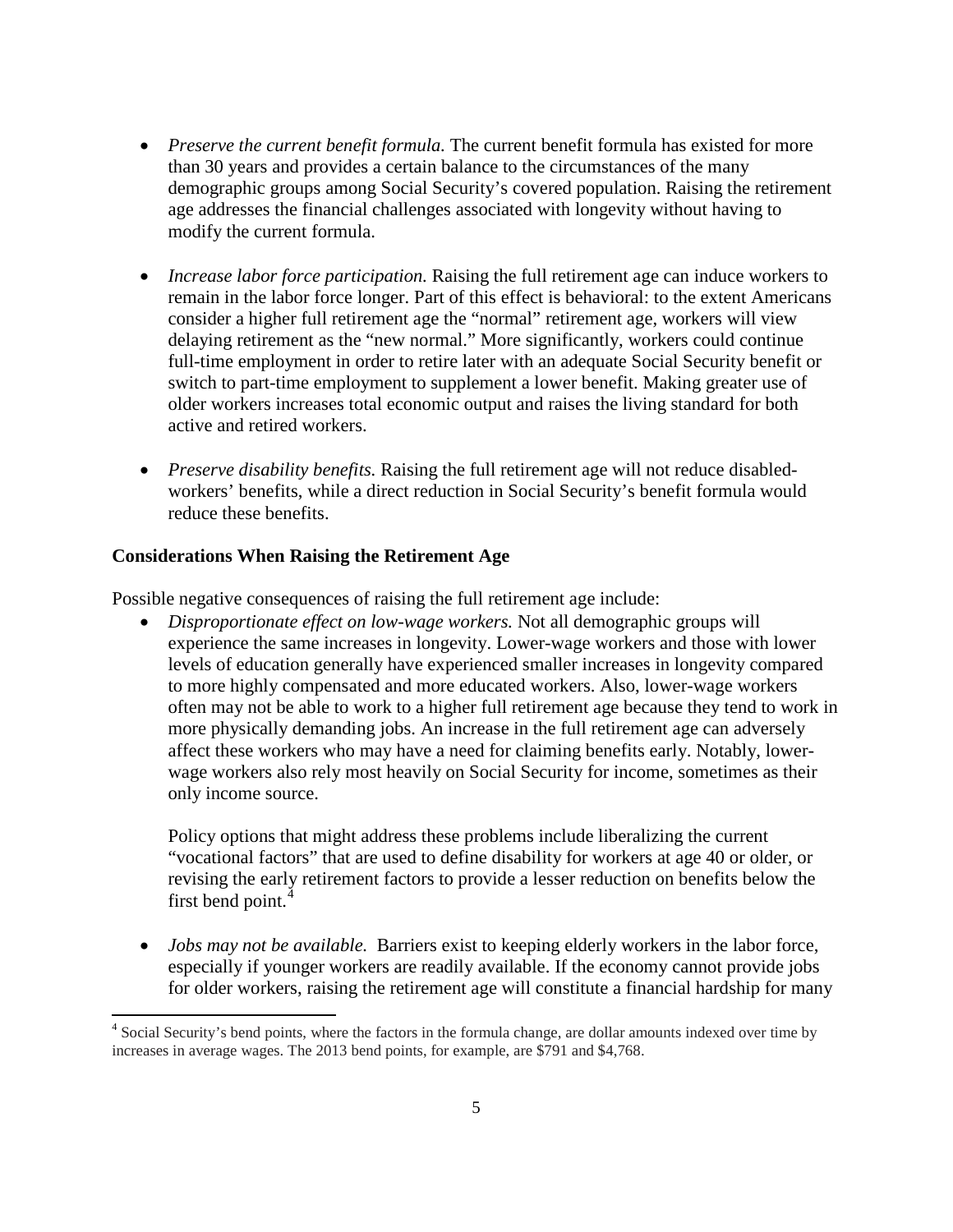- *Preserve the current benefit formula.* The current benefit formula has existed for more than 30 years and provides a certain balance to the circumstances of the many demographic groups among Social Security's covered population. Raising the retirement age addresses the financial challenges associated with longevity without having to modify the current formula.
- *Increase labor force participation.* Raising the full retirement age can induce workers to remain in the labor force longer. Part of this effect is behavioral: to the extent Americans consider a higher full retirement age the "normal" retirement age, workers will view delaying retirement as the "new normal." More significantly, workers could continue full-time employment in order to retire later with an adequate Social Security benefit or switch to part-time employment to supplement a lower benefit. Making greater use of older workers increases total economic output and raises the living standard for both active and retired workers.
- *Preserve disability benefits.* Raising the full retirement age will not reduce disabledworkers' benefits, while a direct reduction in Social Security's benefit formula would reduce these benefits.

### **Considerations When Raising the Retirement Age**

Possible negative consequences of raising the full retirement age include:

• *Disproportionate effect on low-wage workers.* Not all demographic groups will experience the same increases in longevity. Lower-wage workers and those with lower levels of education generally have experienced smaller increases in longevity compared to more highly compensated and more educated workers. Also, lower-wage workers often may not be able to work to a higher full retirement age because they tend to work in more physically demanding jobs. An increase in the full retirement age can adversely affect these workers who may have a need for claiming benefits early. Notably, lowerwage workers also rely most heavily on Social Security for income, sometimes as their only income source.

Policy options that might address these problems include liberalizing the current "vocational factors" that are used to define disability for workers at age 40 or older, or revising the early retirement factors to provide a lesser reduction on benefits below the first bend point.<sup>[4](#page-4-0)</sup>

• *Jobs may not be available.* Barriers exist to keeping elderly workers in the labor force, especially if younger workers are readily available. If the economy cannot provide jobs for older workers, raising the retirement age will constitute a financial hardship for many

<span id="page-4-0"></span><sup>4</sup> Social Security's bend points, where the factors in the formula change, are dollar amounts indexed over time by increases in average wages. The 2013 bend points, for example, are \$791 and \$4,768.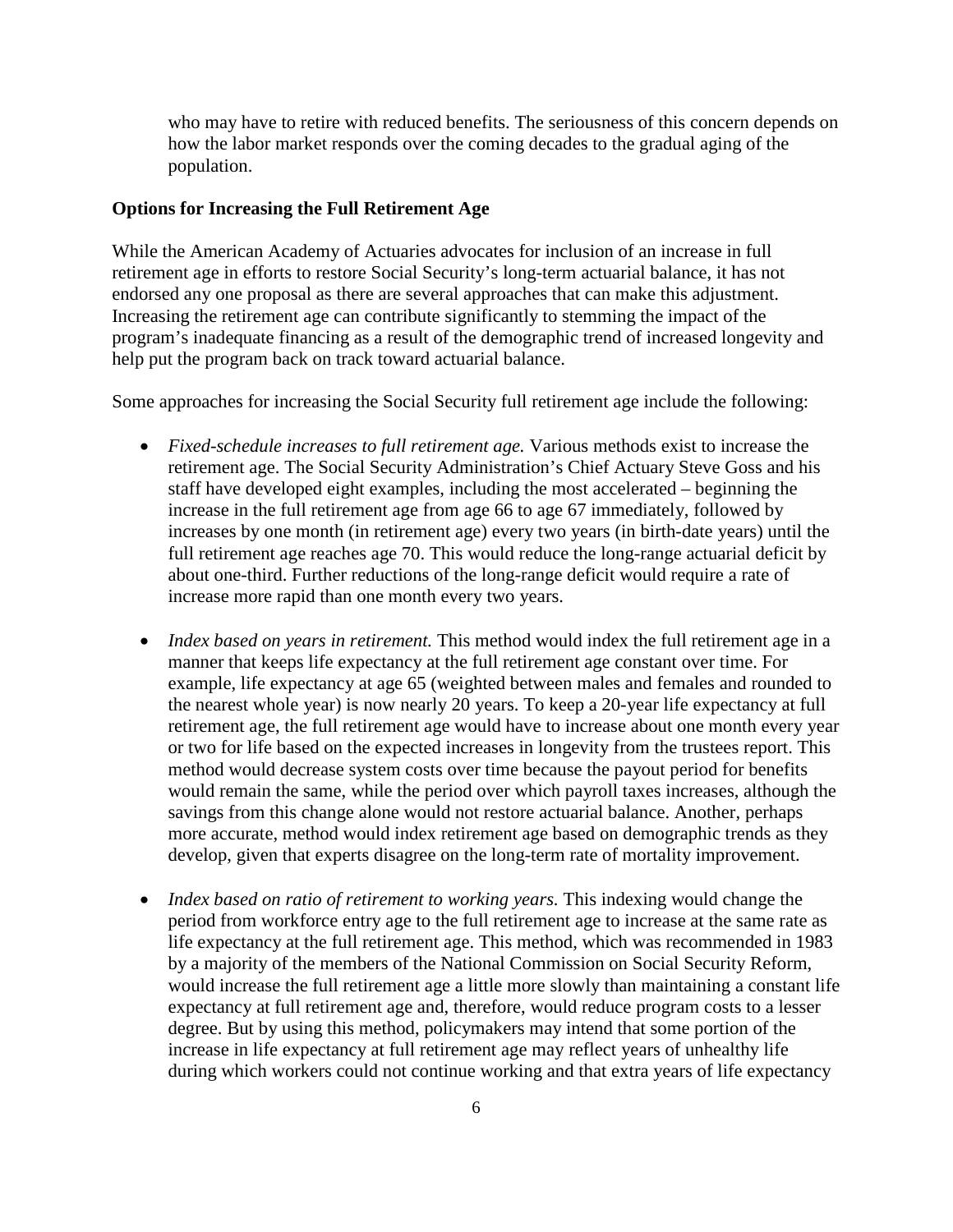who may have to retire with reduced benefits. The seriousness of this concern depends on how the labor market responds over the coming decades to the gradual aging of the population.

#### **Options for Increasing the Full Retirement Age**

While the American Academy of Actuaries advocates for inclusion of an increase in full retirement age in efforts to restore Social Security's long-term actuarial balance, it has not endorsed any one proposal as there are several approaches that can make this adjustment. Increasing the retirement age can contribute significantly to stemming the impact of the program's inadequate financing as a result of the demographic trend of increased longevity and help put the program back on track toward actuarial balance.

Some approaches for increasing the Social Security full retirement age include the following:

- *Fixed-schedule increases to full retirement age.* Various methods exist to increase the retirement age. The Social Security Administration's Chief Actuary Steve Goss and his staff have developed eight examples, including the most accelerated – beginning the increase in the full retirement age from age 66 to age 67 immediately, followed by increases by one month (in retirement age) every two years (in birth-date years) until the full retirement age reaches age 70. This would reduce the long-range actuarial deficit by about one-third. Further reductions of the long-range deficit would require a rate of increase more rapid than one month every two years.
- *Index based on years in retirement*. This method would index the full retirement age in a manner that keeps life expectancy at the full retirement age constant over time. For example, life expectancy at age 65 (weighted between males and females and rounded to the nearest whole year) is now nearly 20 years. To keep a 20-year life expectancy at full retirement age, the full retirement age would have to increase about one month every year or two for life based on the expected increases in longevity from the trustees report. This method would decrease system costs over time because the payout period for benefits would remain the same, while the period over which payroll taxes increases, although the savings from this change alone would not restore actuarial balance. Another, perhaps more accurate, method would index retirement age based on demographic trends as they develop, given that experts disagree on the long-term rate of mortality improvement.
- *Index based on ratio of retirement to working years.* This indexing would change the period from workforce entry age to the full retirement age to increase at the same rate as life expectancy at the full retirement age. This method, which was recommended in 1983 by a majority of the members of the National Commission on Social Security Reform, would increase the full retirement age a little more slowly than maintaining a constant life expectancy at full retirement age and, therefore, would reduce program costs to a lesser degree. But by using this method, policymakers may intend that some portion of the increase in life expectancy at full retirement age may reflect years of unhealthy life during which workers could not continue working and that extra years of life expectancy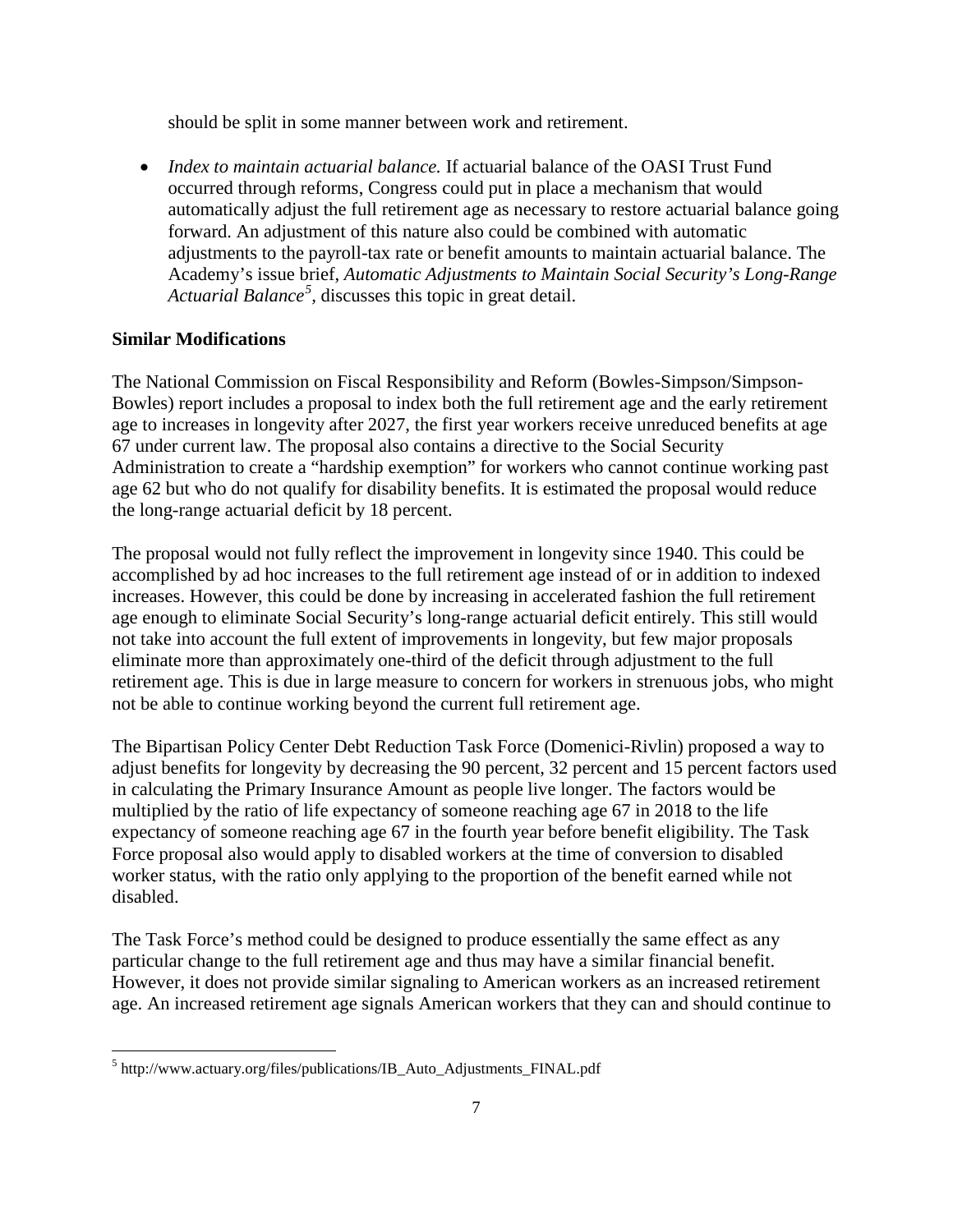should be split in some manner between work and retirement.

• *Index to maintain actuarial balance.* If actuarial balance of the OASI Trust Fund occurred through reforms, Congress could put in place a mechanism that would automatically adjust the full retirement age as necessary to restore actuarial balance going forward. An adjustment of this nature also could be combined with automatic adjustments to the payroll-tax rate or benefit amounts to maintain actuarial balance. The Academy's issue brief, *Automatic Adjustments to Maintain Social Security's Long-Range Actuarial Balance[5](#page-6-0) ,* discusses this topic in great detail.

#### **Similar Modifications**

The National Commission on Fiscal Responsibility and Reform (Bowles-Simpson/Simpson-Bowles) report includes a proposal to index both the full retirement age and the early retirement age to increases in longevity after 2027, the first year workers receive unreduced benefits at age 67 under current law. The proposal also contains a directive to the Social Security Administration to create a "hardship exemption" for workers who cannot continue working past age 62 but who do not qualify for disability benefits. It is estimated the proposal would reduce the long-range actuarial deficit by 18 percent.

The proposal would not fully reflect the improvement in longevity since 1940. This could be accomplished by ad hoc increases to the full retirement age instead of or in addition to indexed increases. However, this could be done by increasing in accelerated fashion the full retirement age enough to eliminate Social Security's long-range actuarial deficit entirely. This still would not take into account the full extent of improvements in longevity, but few major proposals eliminate more than approximately one-third of the deficit through adjustment to the full retirement age. This is due in large measure to concern for workers in strenuous jobs, who might not be able to continue working beyond the current full retirement age.

The Bipartisan Policy Center Debt Reduction Task Force (Domenici-Rivlin) proposed a way to adjust benefits for longevity by decreasing the 90 percent, 32 percent and 15 percent factors used in calculating the Primary Insurance Amount as people live longer. The factors would be multiplied by the ratio of life expectancy of someone reaching age 67 in 2018 to the life expectancy of someone reaching age 67 in the fourth year before benefit eligibility. The Task Force proposal also would apply to disabled workers at the time of conversion to disabled worker status, with the ratio only applying to the proportion of the benefit earned while not disabled.

The Task Force's method could be designed to produce essentially the same effect as any particular change to the full retirement age and thus may have a similar financial benefit. However, it does not provide similar signaling to American workers as an increased retirement age. An increased retirement age signals American workers that they can and should continue to

<span id="page-6-0"></span><sup>&</sup>lt;sup>5</sup> http://www.actuary.org/files/publications/IB\_Auto\_Adjustments\_FINAL.pdf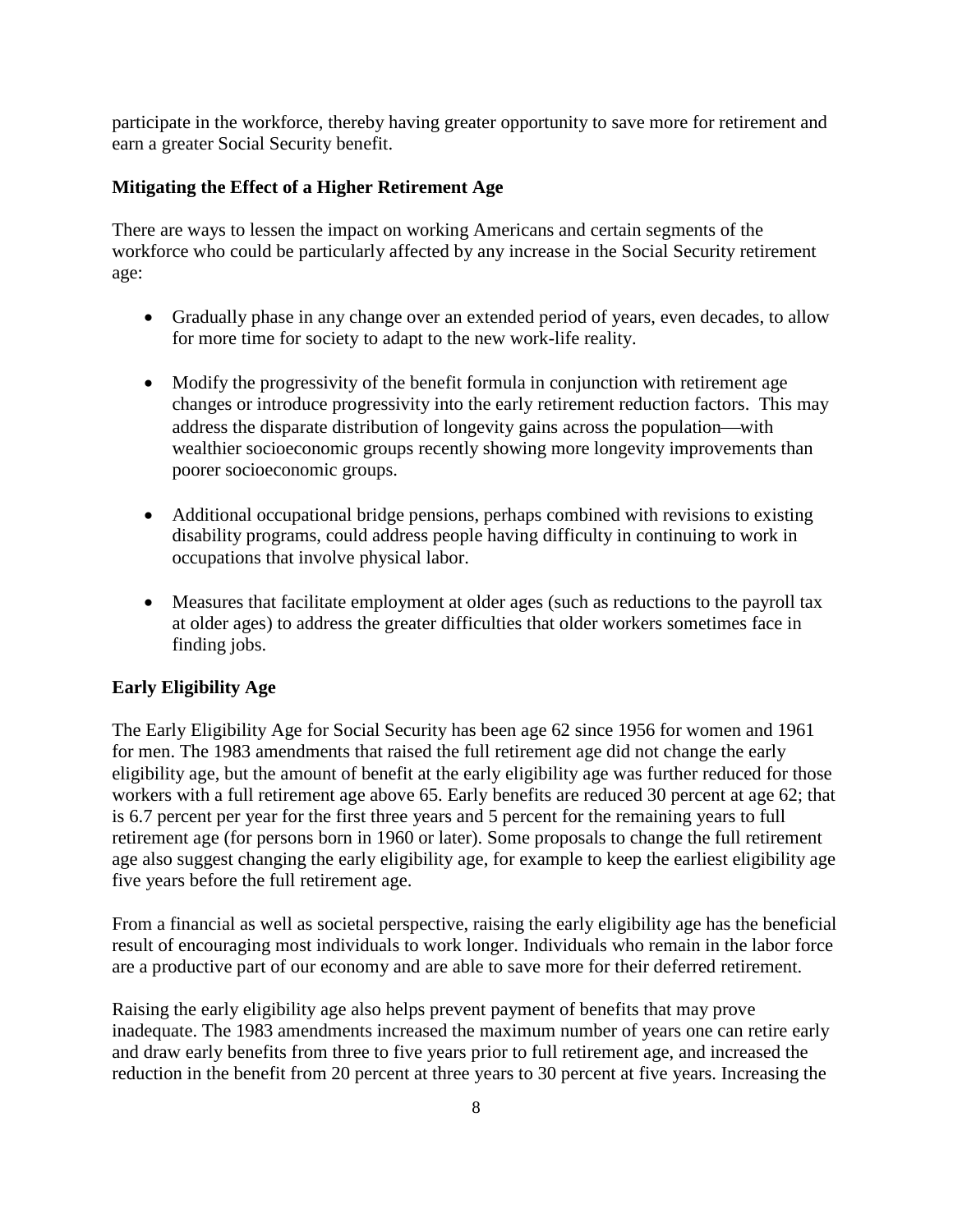participate in the workforce, thereby having greater opportunity to save more for retirement and earn a greater Social Security benefit.

## **Mitigating the Effect of a Higher Retirement Age**

There are ways to lessen the impact on working Americans and certain segments of the workforce who could be particularly affected by any increase in the Social Security retirement age:

- Gradually phase in any change over an extended period of years, even decades, to allow for more time for society to adapt to the new work-life reality.
- Modify the progressivity of the benefit formula in conjunction with retirement age changes or introduce progressivity into the early retirement reduction factors. This may address the disparate distribution of longevity gains across the population—with wealthier socioeconomic groups recently showing more longevity improvements than poorer socioeconomic groups.
- Additional occupational bridge pensions, perhaps combined with revisions to existing disability programs, could address people having difficulty in continuing to work in occupations that involve physical labor.
- Measures that facilitate employment at older ages (such as reductions to the payroll tax at older ages) to address the greater difficulties that older workers sometimes face in finding jobs.

## **Early Eligibility Age**

The Early Eligibility Age for Social Security has been age 62 since 1956 for women and 1961 for men. The 1983 amendments that raised the full retirement age did not change the early eligibility age, but the amount of benefit at the early eligibility age was further reduced for those workers with a full retirement age above 65. Early benefits are reduced 30 percent at age 62; that is 6.7 percent per year for the first three years and 5 percent for the remaining years to full retirement age (for persons born in 1960 or later). Some proposals to change the full retirement age also suggest changing the early eligibility age, for example to keep the earliest eligibility age five years before the full retirement age.

From a financial as well as societal perspective, raising the early eligibility age has the beneficial result of encouraging most individuals to work longer. Individuals who remain in the labor force are a productive part of our economy and are able to save more for their deferred retirement.

Raising the early eligibility age also helps prevent payment of benefits that may prove inadequate. The 1983 amendments increased the maximum number of years one can retire early and draw early benefits from three to five years prior to full retirement age, and increased the reduction in the benefit from 20 percent at three years to 30 percent at five years. Increasing the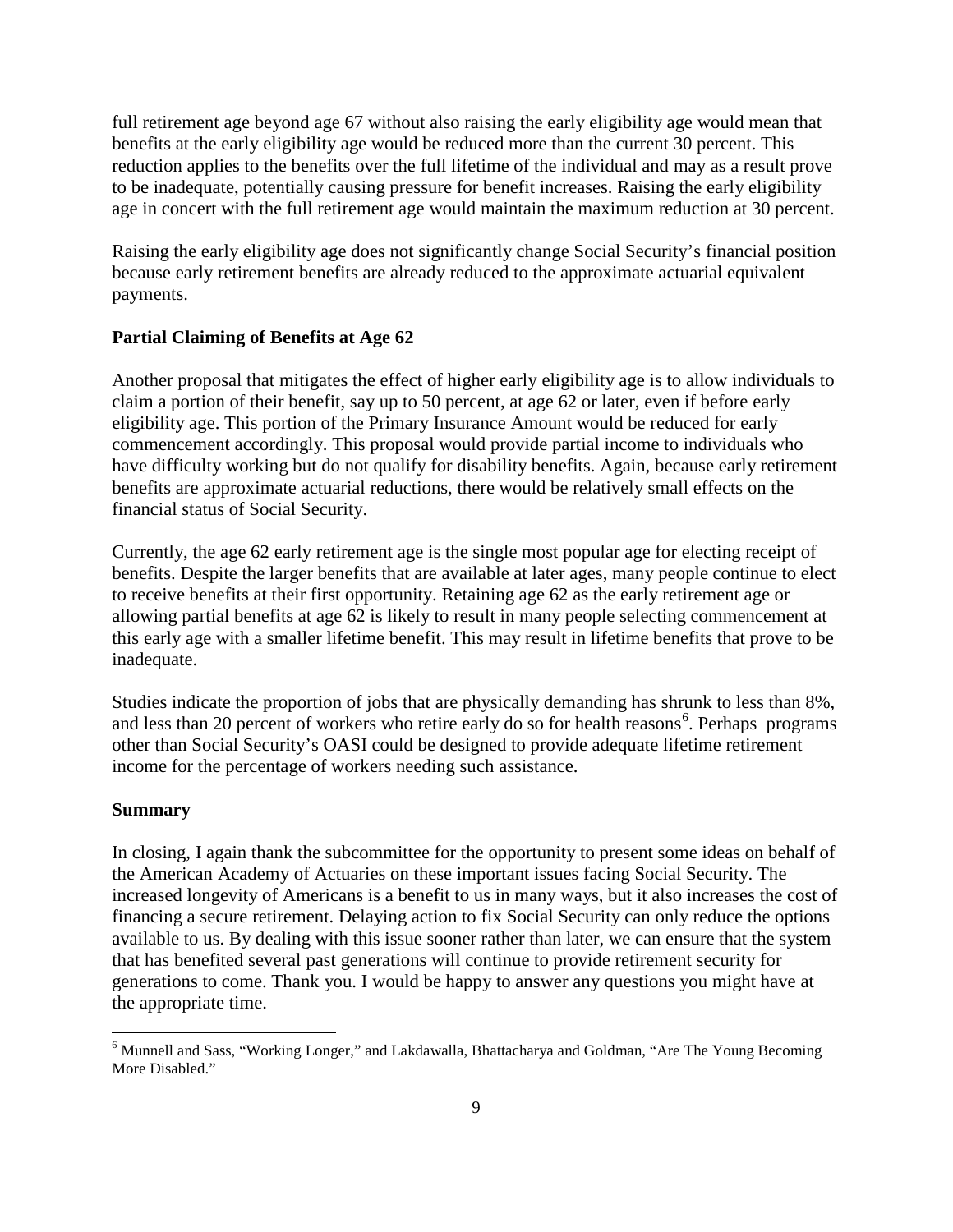full retirement age beyond age 67 without also raising the early eligibility age would mean that benefits at the early eligibility age would be reduced more than the current 30 percent. This reduction applies to the benefits over the full lifetime of the individual and may as a result prove to be inadequate, potentially causing pressure for benefit increases. Raising the early eligibility age in concert with the full retirement age would maintain the maximum reduction at 30 percent.

Raising the early eligibility age does not significantly change Social Security's financial position because early retirement benefits are already reduced to the approximate actuarial equivalent payments.

#### **Partial Claiming of Benefits at Age 62**

Another proposal that mitigates the effect of higher early eligibility age is to allow individuals to claim a portion of their benefit, say up to 50 percent, at age 62 or later, even if before early eligibility age. This portion of the Primary Insurance Amount would be reduced for early commencement accordingly. This proposal would provide partial income to individuals who have difficulty working but do not qualify for disability benefits. Again, because early retirement benefits are approximate actuarial reductions, there would be relatively small effects on the financial status of Social Security.

Currently, the age 62 early retirement age is the single most popular age for electing receipt of benefits. Despite the larger benefits that are available at later ages, many people continue to elect to receive benefits at their first opportunity. Retaining age 62 as the early retirement age or allowing partial benefits at age 62 is likely to result in many people selecting commencement at this early age with a smaller lifetime benefit. This may result in lifetime benefits that prove to be inadequate.

Studies indicate the proportion of jobs that are physically demanding has shrunk to less than 8%, and less than 20 percent of workers who retire early do so for health reasons<sup>[6](#page-8-0)</sup>. Perhaps programs other than Social Security's OASI could be designed to provide adequate lifetime retirement income for the percentage of workers needing such assistance.

#### **Summary**

In closing, I again thank the subcommittee for the opportunity to present some ideas on behalf of the American Academy of Actuaries on these important issues facing Social Security. The increased longevity of Americans is a benefit to us in many ways, but it also increases the cost of financing a secure retirement. Delaying action to fix Social Security can only reduce the options available to us. By dealing with this issue sooner rather than later, we can ensure that the system that has benefited several past generations will continue to provide retirement security for generations to come. Thank you. I would be happy to answer any questions you might have at the appropriate time.

<span id="page-8-0"></span><sup>6</sup> Munnell and Sass, "Working Longer," and Lakdawalla, Bhattacharya and Goldman, "Are The Young Becoming More Disabled."